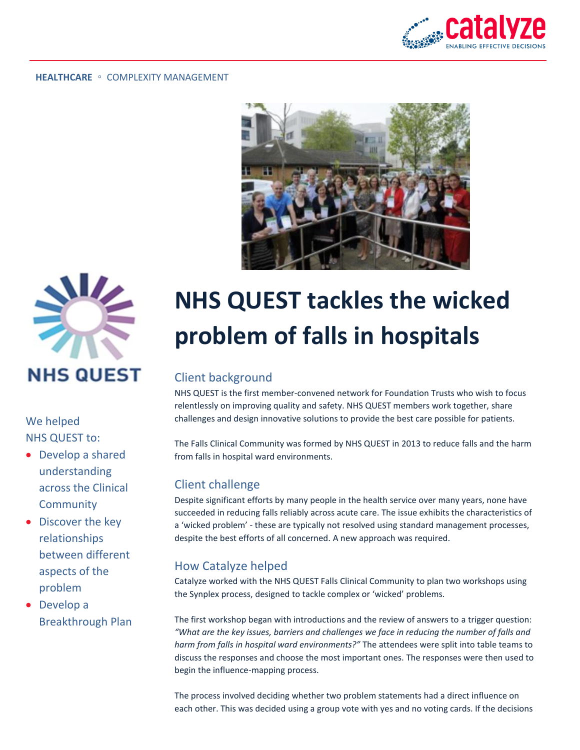





We helped NHS QUEST to:

- Develop a shared understanding across the Clinical **Community**
- Discover the key relationships between different aspects of the problem
- Develop a Breakthrough Plan

# **NHS QUEST tackles the wicked problem of falls in hospitals**

## Client background

NHS QUEST is the first member-convened network for Foundation Trusts who wish to focus relentlessly on improving quality and safety. NHS QUEST members work together, share challenges and design innovative solutions to provide the best care possible for patients.

The Falls Clinical Community was formed by NHS QUEST in 2013 to reduce falls and the harm from falls in hospital ward environments.

### Client challenge

Despite significant efforts by many people in the health service over many years, none have succeeded in reducing falls reliably across acute care. The issue exhibits the characteristics of a 'wicked problem' - these are typically not resolved using standard management processes, despite the best efforts of all concerned. A new approach was required.

## How Catalyze helped

Catalyze worked with the NHS QUEST Falls Clinical Community to plan two workshops using the Synplex process, designed to tackle complex or 'wicked' problems.

The first workshop began with introductions and the review of answers to a trigger question: *"What are the key issues, barriers and challenges we face in reducing the number of falls and harm from falls in hospital ward environments?"* The attendees were split into table teams to discuss the responses and choose the most important ones. The responses were then used to begin the influence-mapping process.

The process involved deciding whether two problem statements had a direct influence on each other. This was decided using a group vote with yes and no voting cards. If the decisions